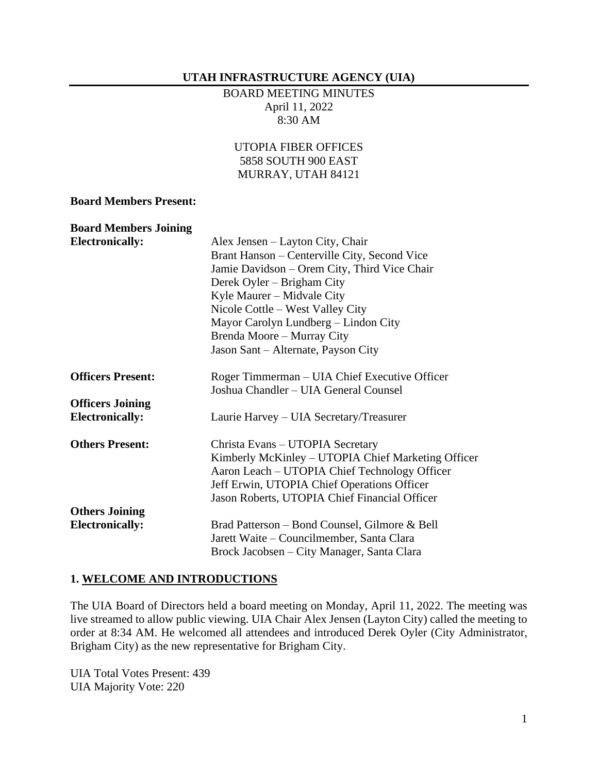#### **UTAH INFRASTRUCTURE AGENCY (UIA)**

#### BOARD MEETING MINUTES April 11, 2022 8:30 AM

### UTOPIA FIBER OFFICES 5858 SOUTH 900 EAST MURRAY, UTAH 84121

#### **Board Members Present:**

| <b>Board Members Joining</b> |                                                    |
|------------------------------|----------------------------------------------------|
| <b>Electronically:</b>       | Alex Jensen – Layton City, Chair                   |
|                              | Brant Hanson – Centerville City, Second Vice       |
|                              | Jamie Davidson – Orem City, Third Vice Chair       |
|                              | Derek Oyler – Brigham City                         |
|                              | Kyle Maurer – Midvale City                         |
|                              | Nicole Cottle – West Valley City                   |
|                              | Mayor Carolyn Lundberg – Lindon City               |
|                              | Brenda Moore – Murray City                         |
|                              | Jason Sant – Alternate, Payson City                |
| <b>Officers Present:</b>     | Roger Timmerman – UIA Chief Executive Officer      |
|                              | Joshua Chandler - UIA General Counsel              |
| <b>Officers Joining</b>      |                                                    |
| <b>Electronically:</b>       | Laurie Harvey – UIA Secretary/Treasurer            |
| <b>Others Present:</b>       | Christa Evans - UTOPIA Secretary                   |
|                              | Kimberly McKinley - UTOPIA Chief Marketing Officer |
|                              | Aaron Leach – UTOPIA Chief Technology Officer      |
|                              | Jeff Erwin, UTOPIA Chief Operations Officer        |
|                              | Jason Roberts, UTOPIA Chief Financial Officer      |
| <b>Others Joining</b>        |                                                    |
| <b>Electronically:</b>       | Brad Patterson – Bond Counsel, Gilmore & Bell      |
|                              | Jarett Waite – Councilmember, Santa Clara          |
|                              | Brock Jacobsen – City Manager, Santa Clara         |

#### **1. WELCOME AND INTRODUCTIONS**

The UIA Board of Directors held a board meeting on Monday, April 11, 2022. The meeting was live streamed to allow public viewing. UIA Chair Alex Jensen (Layton City) called the meeting to order at 8:34 AM. He welcomed all attendees and introduced Derek Oyler (City Administrator, Brigham City) as the new representative for Brigham City.

UIA Total Votes Present: 439 UIA Majority Vote: 220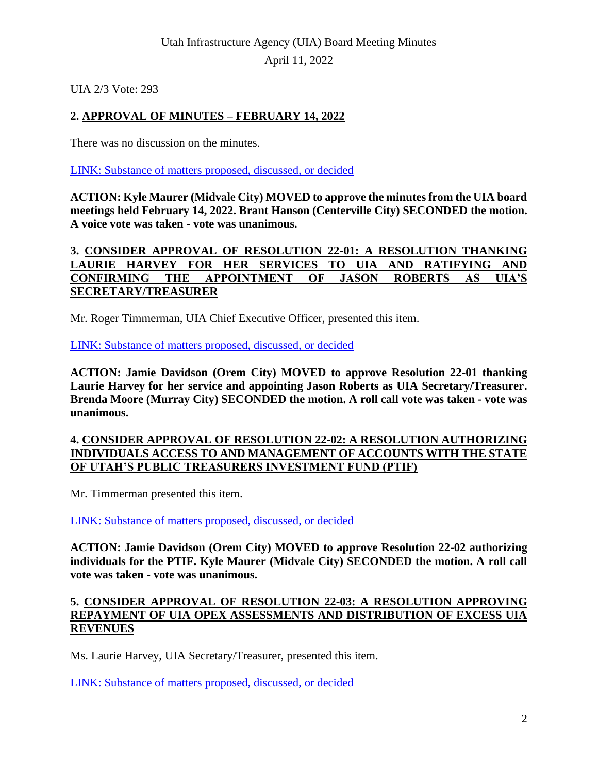April 11, 2022

UIA 2/3 Vote: 293

# **2. APPROVAL OF MINUTES – FEBRUARY 14, 2022**

There was no discussion on the minutes.

[LINK: Substance of matters proposed, discussed, or decided](https://youtu.be/sRVmiRSpmxI?t=323)

**ACTION: Kyle Maurer (Midvale City) MOVED to approve the minutes from the UIA board meetings held February 14, 2022. Brant Hanson (Centerville City) SECONDED the motion. A voice vote was taken - vote was unanimous.**

#### **3. CONSIDER APPROVAL OF RESOLUTION 22-01: A RESOLUTION THANKING LAURIE HARVEY FOR HER SERVICES TO UIA AND RATIFYING AND CONFIRMING THE APPOINTMENT OF JASON ROBERTS AS UIA'S SECRETARY/TREASURER**

Mr. Roger Timmerman, UIA Chief Executive Officer, presented this item.

[LINK: Substance of matters proposed, discussed, or decided](https://youtu.be/sRVmiRSpmxI?t=373)

**ACTION: Jamie Davidson (Orem City) MOVED to approve Resolution 22-01 thanking Laurie Harvey for her service and appointing Jason Roberts as UIA Secretary/Treasurer. Brenda Moore (Murray City) SECONDED the motion. A roll call vote was taken - vote was unanimous.**

### **4. CONSIDER APPROVAL OF RESOLUTION 22-02: A RESOLUTION AUTHORIZING INDIVIDUALS ACCESS TO AND MANAGEMENT OF ACCOUNTS WITH THE STATE OF UTAH'S PUBLIC TREASURERS INVESTMENT FUND (PTIF)**

Mr. Timmerman presented this item.

[LINK: Substance of matters proposed, discussed, or decided](https://youtu.be/sRVmiRSpmxI?t=883)

**ACTION: Jamie Davidson (Orem City) MOVED to approve Resolution 22-02 authorizing individuals for the PTIF. Kyle Maurer (Midvale City) SECONDED the motion. A roll call vote was taken - vote was unanimous.**

### **5. CONSIDER APPROVAL OF RESOLUTION 22-03: A RESOLUTION APPROVING REPAYMENT OF UIA OPEX ASSESSMENTS AND DISTRIBUTION OF EXCESS UIA REVENUES**

Ms. Laurie Harvey, UIA Secretary/Treasurer, presented this item.

[LINK: Substance of matters proposed, discussed, or decided](https://youtu.be/sRVmiRSpmxI?t=975)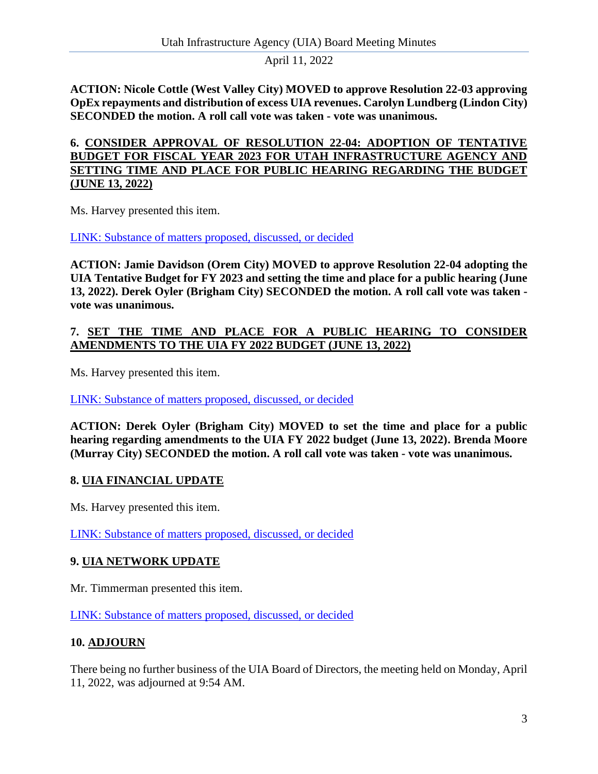April 11, 2022

**ACTION: Nicole Cottle (West Valley City) MOVED to approve Resolution 22-03 approving OpEx repayments and distribution of excess UIA revenues. Carolyn Lundberg (Lindon City) SECONDED the motion. A roll call vote was taken - vote was unanimous.**

**6. CONSIDER APPROVAL OF RESOLUTION 22-04: ADOPTION OF TENTATIVE BUDGET FOR FISCAL YEAR 2023 FOR UTAH INFRASTRUCTURE AGENCY AND SETTING TIME AND PLACE FOR PUBLIC HEARING REGARDING THE BUDGET (JUNE 13, 2022)**

Ms. Harvey presented this item.

[LINK: Substance of matters proposed, discussed, or decided](https://youtu.be/sRVmiRSpmxI?t=1718)

**ACTION: Jamie Davidson (Orem City) MOVED to approve Resolution 22-04 adopting the UIA Tentative Budget for FY 2023 and setting the time and place for a public hearing (June 13, 2022). Derek Oyler (Brigham City) SECONDED the motion. A roll call vote was taken vote was unanimous.**

## **7. SET THE TIME AND PLACE FOR A PUBLIC HEARING TO CONSIDER AMENDMENTS TO THE UIA FY 2022 BUDGET (JUNE 13, 2022)**

Ms. Harvey presented this item.

[LINK: Substance of matters proposed, discussed, or decided](https://youtu.be/sRVmiRSpmxI?t=3262)

**ACTION: Derek Oyler (Brigham City) MOVED to set the time and place for a public hearing regarding amendments to the UIA FY 2022 budget (June 13, 2022). Brenda Moore (Murray City) SECONDED the motion. A roll call vote was taken - vote was unanimous.**

## **8. UIA FINANCIAL UPDATE**

Ms. Harvey presented this item.

[LINK: Substance of matters proposed, discussed, or decided](https://youtu.be/sRVmiRSpmxI?t=3320)

### **9. UIA NETWORK UPDATE**

Mr. Timmerman presented this item.

[LINK: Substance of matters proposed, discussed, or decided](https://youtu.be/sRVmiRSpmxI?t=4094)

### **10. ADJOURN**

There being no further business of the UIA Board of Directors, the meeting held on Monday, April 11, 2022, was adjourned at 9:54 AM.